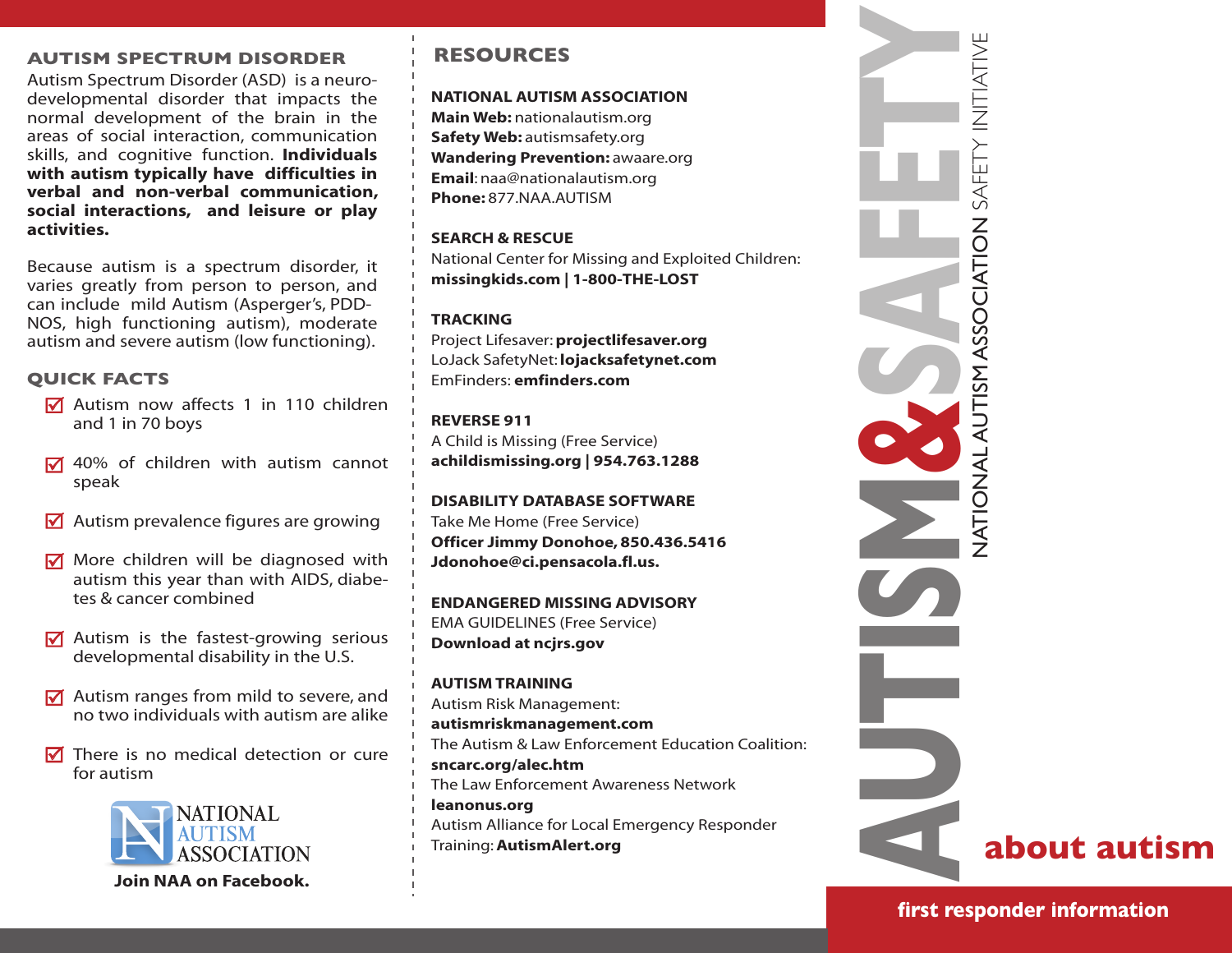## **AUTISM SPECTRUM DISORDER**

Autism Spectrum Disorder (ASD) is a neurodevelopmental disorder that impacts the normal development of the brain in the areas of social interaction, communication skills, and cognitive function. **Individuals with autism typically have difficulties in verbal and non-verbal communication, social interactions, and leisure or play activities.** 

Because autism is a spectrum disorder, it varies greatly from person to person, and can include mild Autism (Asperger's, PDD-NOS, high functioning autism), moderate autism and severe autism (low functioning).

### **QUICK FACTS**

- $\sqrt{ }$  Autism now affects 1 in 110 children and 1 in 70 boys
- 40% of children with autism cannot speak
- $\blacksquare$  Autism prevalence figures are growing
- More children will be diagnosed with autism this year than with AIDS, diabetes & cancer combined
- $\sqrt{ }$  Autism is the fastest-growing serious developmental disability in the U.S.
- $\sqrt{ }$  Autism ranges from mild to severe, and no two individuals with autism are alike
- $\sqrt{ }$  There is no medical detection or cure for autism



## **RESOURCES**

#### **NATIONAL AUTISM ASSOCIATION**

**Main Web:** nationalautism.org **Safety Web:** autismsafety.org **Wandering Prevention:** awaare.org **Email**: naa@nationalautism.org **Phone:** 877.NAA.AUTISM

#### **SEARCH & RESCUE**

National Center for Missing and Exploited Children: **missingkids.com | 1-800-THE-LOST**

#### **TRACKING**

Project Lifesaver: **projectlifesaver.org** LoJack SafetyNet: **lojacksafetynet.com** EmFinders: **emfinders.com**

#### **REVERSE 911**

A Child is Missing (Free Service) **achildismissing.org | 954.763.1288** 

#### **DISABILITY DATABASE SOFTWARE**

Take Me Home (Free Service) **Officer Jimmy Donohoe, 850.436.5416 Jdonohoe@ci.pensacola.fl.us.**

### **ENDANGERED MISSING ADVISORY** EMA GUIDELINES (Free Service) **Download at ncjrs.gov**

**AUTISM TRAINING** Autism Risk Management: **autismriskmanagement.com** The Autism & Law Enforcement Education Coalition: **sncarc.org/alec.htm** The Law Enforcement Awareness Network **leanonus.org** Autism Alliance for Local Emergency Responder Training: **AutismAlert.org**



**first responder information**